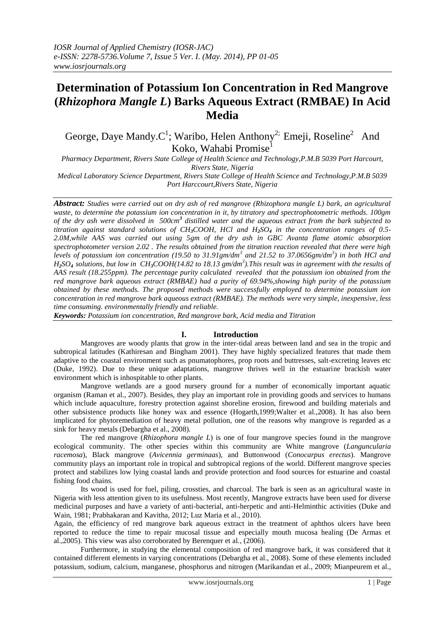# **Determination of Potassium Ion Concentration in Red Mangrove (***Rhizophora Mangle L***) Barks Aqueous Extract (RMBAE) In Acid Media**

George, Daye Mandy.C<sup>1</sup>; Waribo, Helen Anthony<sup>2;</sup> Emeji, Roseline<sup>2</sup> And Koko, Wahabi Promise<sup>1</sup>

*Pharmacy Department, Rivers State College of Health Science and Technology,P.M.B 5039 Port Harcourt, Rivers State, Nigeria*

*Medical Laboratory Science Department, Rivers State College of Health Science and Technology,P.M.B 5039 Port Harccourt,Rivers State, Nigeria*

*Abstract: Studies were carried out on dry ash of red mangrove (Rhizophora mangle L) bark, an agricultural waste, to determine the potassium ion concentration in it, by titratory and spectrophotometric methods. 100gm of the dry ash were dissolved in 500cm<sup>3</sup> distilled water and the aqueous extract from the bark subjected to titration against standard solutions of CH3COOH, HCl and H2SO<sup>4</sup> in the concentration ranges of 0.5- 2.0M,while AAS was carried out using 5gm of the dry ash in GBC Avanta flame atomic absorption spectrophotometer version 2.02 . The results obtained from the titration reaction revealed that there were high levels of potassium ion concentration (19.50 to 31.91gm/dm<sup>3</sup> and 21.52 to 37.0656gm/dm<sup>3</sup> ) in both HCl and H2SO<sup>4</sup> solutions, but low in CH3COOH(14.82 to 18.13 gm/dm<sup>3</sup> ).This result was in agreement with the results of AAS result (18.255ppm). The percentage purity calculated revealed that the potassium ion obtained from the red mangrove bark aqueous extract (RMBAE) had a purity of 69.94%,showing high purity of the potassium obtained by these methods. The proposed methods were successfully employed to determine potassium ion concentration in red mangrove bark aqueous extract (RMBAE). The methods were very simple, inexpensive, less time consuming. environmentally friendly and reliable.*

*Keywords: Potassium ion concentration, Red mangrove bark, Acid media and Titration*

# **I. Introduction**

Mangroves are woody plants that grow in the inter-tidal areas between land and sea in the tropic and subtropical latitudes (Kathiresan and Bingham 2001). They have highly specialized features that made them adaptive to the coastal environment such as pnumatophores, prop roots and buttresses, salt-excreting leaves etc (Duke, 1992). Due to these unique adaptations, mangrove thrives well in the estuarine brackish water environment which is inhospitable to other plants.

Mangrove wetlands are a good nursery ground for a number of economically important aquatic organism (Raman et al., 2007). Besides, they play an important role in providing goods and services to humans which include aquaculture, forestry protection against shoreline erosion, firewood and building materials and other subsistence products like honey wax and essence (Hogarth,1999;Walter et al.,2008). It has also been implicated for phytoremediation of heavy metal pollution, one of the reasons why mangrove is regarded as a sink for heavy metals (Debargha et al., 2008).

The red mangrove (*Rhizophora mangle L*) is one of four mangrove species found in the mangrove ecological community. The other species within this community are White mangrove (*Languncularia racemosa*), Black mangrove (*Avicennia germinaas*), and Buttonwood (*Conocarpus erectus*). Mangrove community plays an important role in tropical and subtropical regions of the world. Different mangrove species protect and stabilizes low lying coastal lands and provide protection and food sources for estuarine and coastal fishing food chains.

Its wood is used for fuel, piling, crossties, and charcoal. The bark is seen as an agricultural waste in Nigeria with less attention given to its usefulness. Most recently, Mangrove extracts have been used for diverse medicinal purposes and have a variety of anti-bacterial, anti-herpetic and anti-Helminthic activities (Duke and Wain, 1981; Prabhakaran and Kavitha, 2012; Luz Maria et al., 2010).

Again, the efficiency of red mangrove bark aqueous extract in the treatment of aphthos ulcers have been reported to reduce the time to repair mucosal tissue and especially mouth mucosa healing (De Armas et al.,2005). This view was also corroborated by Berenquer et al., (2006).

Furthermore, in studying the elemental composition of red mangrove bark, it was considered that it contained different elements in varying concentrations (Debargha et al., 2008). Some of these elements included potassium, sodium, calcium, manganese, phosphorus and nitrogen (Marikandan et al., 2009; Mianpeurem et al.,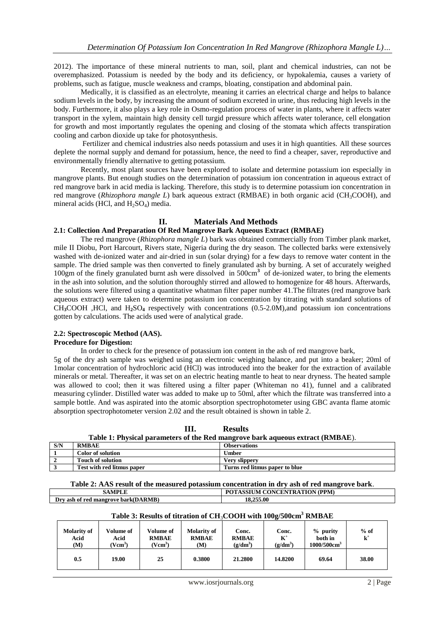2012). The importance of these mineral nutrients to man, soil, plant and chemical industries, can not be overemphasized. Potassium is needed by the body and its deficiency, or hypokalemia, causes a variety of problems, such as fatigue, muscle weakness and cramps, bloating, constipation and abdominal pain.

Medically, it is classified as an electrolyte, meaning it carries an electrical charge and helps to balance sodium levels in the body, by increasing the amount of sodium excreted in urine, thus reducing high levels in the body. Furthermore, it also plays a key role in Osmo-regulation process of water in plants, where it affects water transport in the xylem, maintain high density cell turgid pressure which affects water tolerance, cell elongation for growth and most importantly regulates the opening and closing of the stomata which affects transpiration cooling and carbon dioxide up take for photosynthesis.

Fertilizer and chemical industries also needs potassium and uses it in high quantities. All these sources deplete the normal supply and demand for potassium, hence, the need to find a cheaper, saver, reproductive and environmentally friendly alternative to getting potassium.

Recently, most plant sources have been explored to isolate and determine potassium ion especially in mangrove plants. But enough studies on the determination of potassium ion concentration in aqueous extract of red mangrove bark in acid media is lacking. Therefore, this study is to determine potassium ion concentration in red mangrove (*Rhizophora mangle L*) bark aqueous extract (RMBAE) in both organic acid (CH3COOH), and mineral acids (HCl, and  $H_2SO_4$ ) media.

### **II. Materials And Methods 2.1: Collection And Preparation Of Red Mangrove Bark Aqueous Extract (RMBAE)**

The red mangrove (*Rhizophora mangle L*) bark was obtained commercially from Timber plank market, mile II Diobu, Port Harcourt, Rivers state, Nigeria during the dry season. The collected barks were extensively washed with de-ionized water and air-dried in sun (solar drying) for a few days to remove water content in the sample. The dried sample was then converted to finely granulated ash by burning. A set of accurately weighed 100gm of the finely granulated burnt ash were dissolved in 500cm<sup>3</sup> of de-ionized water, to bring the elements in the ash into solution, and the solution thoroughly stirred and allowed to homogenize for 48 hours. Afterwards, the solutions were filtered using a quantitative whatman filter paper number 41.The filtrates (red mangrove bark aqueous extract) were taken to determine potassium ion concentration by titrating with standard solutions of CH**3**COOH ,HCl, and H**2**SO**<sup>4</sup>** respectively with concentrations (0.5-2.0M),and potassium ion concentrations gotten by calculations. The acids used were of analytical grade.

# **2.2: Spectroscopic Method (AAS).**

## **Procedure for Digestion:**

In order to check for the presence of potassium ion content in the ash of red mangrove bark,

5g of the dry ash sample was weighed using an electronic weighing balance, and put into a beaker; 20ml of 1molar concentration of hydrochloric acid (HCl) was introduced into the beaker for the extraction of available minerals or metal. Thereafter, it was set on an electric heating mantle to heat to near dryness. The heated sample was allowed to cool; then it was filtered using a filter paper (Whiteman no 41), funnel and a calibrated measuring cylinder. Distilled water was added to make up to 50ml, after which the filtrate was transferred into a sample bottle. And was aspirated into the atomic absorption spectrophotometer using GBC avanta flame atomic absorption spectrophotometer version 2.02 and the result obtained is shown in table 2.

| Table 1: Physical parameters of the Red mangrove bark aqueous extract (RMBAE). |                            |                                |  |  |  |  |  |
|--------------------------------------------------------------------------------|----------------------------|--------------------------------|--|--|--|--|--|
| S/N                                                                            | <b>RMBAE</b>               | <b>Observations</b>            |  |  |  |  |  |
|                                                                                | Color of solution          | Umber                          |  |  |  |  |  |
|                                                                                | <b>Touch of solution</b>   | <b>Very slippery</b>           |  |  |  |  |  |
|                                                                                | Test with red litmus paper | Turns red litmus paper to blue |  |  |  |  |  |

**III. Results Table 1: Physical parameters of the Red mangrove bark aqueous extract (RMBAE**).

| Table 2: AAS result of the measured potassium concentration in dry ash of red mangrove bark. |                               |  |  |  |  |
|----------------------------------------------------------------------------------------------|-------------------------------|--|--|--|--|
| <b>SAMPLE</b>                                                                                | POTASSIUM CONCENTRATION (PPM) |  |  |  |  |
| Dry ash of red mangrove bark(DARMB)                                                          | 18,255,00                     |  |  |  |  |

| Tuble of Kesules of the attoil of CH3COOH with Tooglobochi Kembind |                                          |                                                  |                                           |                                     |                              |                                                     |                 |
|--------------------------------------------------------------------|------------------------------------------|--------------------------------------------------|-------------------------------------------|-------------------------------------|------------------------------|-----------------------------------------------------|-----------------|
| <b>Molarity of</b><br>Acid<br>(M)                                  | Volume of<br>Acid<br>(Vcm <sup>3</sup> ) | Volume of<br><b>RMBAE</b><br>(Vcm <sup>3</sup> ) | <b>Molarity of</b><br><b>RMBAE</b><br>(M) | Conc.<br><b>RMBAE</b><br>$(g/dm^3)$ | Conc.<br>$K^+$<br>$(g/dm^3)$ | $%$ purity<br>both in<br>$1000/500$ cm <sup>3</sup> | $%$ of<br>$k^*$ |
| 0.5                                                                | 19.00                                    | 25                                               | 0.3800                                    | 21.2800                             | 14.8200                      | 69.64                                               | 38.00           |

# **Table 3: Results of titration of CH**3**COOH with 100g/500cm<sup>3</sup> RMBAE**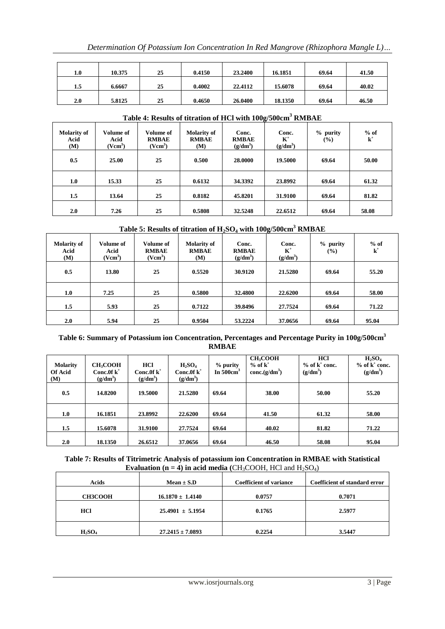| 1.0 | 10.375 | 25 | 0.4150 | 23.2400 | 16.1851 | 69.64 | 41.50 |
|-----|--------|----|--------|---------|---------|-------|-------|
| 1.5 | 6.6667 | 25 | 0.4002 | 22.4112 | 15.6078 | 69.64 | 40.02 |
| 2.0 | 5.8125 | 25 | 0.4650 | 26.0400 | 18.1350 | 69.64 | 46.50 |

| <b>Molarity of</b><br>Acid<br>(M) | Volume of<br>Acid<br>(Vcm <sup>3</sup> ) | Volume of<br><b>RMBAE</b><br>(Vcm <sup>3</sup> ) | <b>Molarity of</b><br><b>RMBAE</b><br>(M) | Conc.<br><b>RMBAE</b><br>$(g/dm^3)$ | Conc.<br>$\mathbf{K}^+$<br>$(g/dm^3)$ | $%$ purity<br>$($ %) | $%$ of<br>$k^+$ |
|-----------------------------------|------------------------------------------|--------------------------------------------------|-------------------------------------------|-------------------------------------|---------------------------------------|----------------------|-----------------|
| 0.5                               | 25.00                                    | 25                                               | 0.500                                     | 28.0000                             | 19.5000                               | 69.64                | 50.00           |
| 1.0                               | 15.33                                    | 25                                               | 0.6132                                    | 34.3392                             | 23.8992                               | 69.64                | 61.32           |
| 1.5                               | 13.64                                    | 25                                               | 0.8182                                    | 45.8201                             | 31.9100                               | 69.64                | 81.82           |
| 2.0                               | 7.26                                     | 25                                               | 0.5808                                    | 32.5248                             | 22,6512                               | 69.64                | 58.08           |

# **Table 4: Results of titration of HCl with 100g/500cm<sup>3</sup> RMBAE**

# **Table 5: Results of titration of H2SO<sup>4</sup> with 100g/500cm<sup>3</sup> RMBAE**

| <b>Molarity of</b><br>Acid<br><b>(M)</b> | Volume of<br>Acid<br>(Vcm <sup>3</sup> ) | <b>Volume of</b><br><b>RMBAE</b><br>(Vcm <sup>3</sup> ) | <b>Molarity of</b><br><b>RMBAE</b><br>(M) | Conc.<br><b>RMBAE</b><br>$(g/dm^3)$ | Conc.<br>$K^+$<br>$(g/dm^3)$ | $%$ purity<br>$($ %) | $%$ of<br>$\mathbf{k}^+$ |
|------------------------------------------|------------------------------------------|---------------------------------------------------------|-------------------------------------------|-------------------------------------|------------------------------|----------------------|--------------------------|
| 0.5                                      | 13.80                                    | 25                                                      | 0.5520                                    | 30.9120                             | 21.5280                      | 69.64                | 55.20                    |
| 1.0                                      | 7.25                                     | 25                                                      | 0.5800                                    | 32.4800                             | 22.6200                      | 69.64                | 58.00                    |
| 1.5                                      | 5.93                                     | 25                                                      | 0.7122                                    | 39.8496                             | 27.7524                      | 69.64                | 71.22                    |
| 2.0                                      | 5.94                                     | 25                                                      | 0.9504                                    | 53.2224                             | 37.0656                      | 69.64                | 95.04                    |

# **Table 6: Summary of Potassium ion Concentration, Percentages and Percentage Purity in 100g/500cm<sup>3</sup> RMBAE**

| <b>Molarity</b><br><b>Of Acid</b><br>(M) | <b>CH<sub>3</sub>COOH</b><br>Conc.0f $k^+$<br>$(g/dm^3)$ | HCl<br>Conc.0f $k^+$<br>$(g/dm^3)$ | $H_2SO_4$<br>Conc.0f $k^+$<br>$(g/dm^3)$ | % purity<br>In $500 \text{cm}^3$ | <b>CH<sub>3</sub>COOH</b><br>$%$ of $k^+$<br>conc. $(g/dm^3)$ | <b>HCl</b><br>$%$ of $k^+$ conc.<br>$(g/dm^3)$ | $H_2SO_4$<br>$%$ of $k^+$ conc.<br>$(g/dm^3)$ |
|------------------------------------------|----------------------------------------------------------|------------------------------------|------------------------------------------|----------------------------------|---------------------------------------------------------------|------------------------------------------------|-----------------------------------------------|
| 0.5                                      | 14.8200                                                  | 19.5000                            | 21.5280                                  | 69.64                            | 38.00                                                         | 50.00                                          | 55.20                                         |
| 1.0                                      | 16.1851                                                  | 23.8992                            | 22.6200                                  | 69.64                            | 41.50                                                         | 61.32                                          | 58.00                                         |
| 1.5                                      | 15.6078                                                  | 31.9100                            | 27.7524                                  | 69.64                            | 40.02                                                         | 81.82                                          | 71.22                                         |
| 2.0                                      | 18.1350                                                  | 26.6512                            | 37.0656                                  | 69.64                            | 46.50                                                         | 58.08                                          | 95.04                                         |

# **Table 7: Results of Titrimetric Analysis of potassium ion Concentration in RMBAE with Statistical Evaluation**  $(n = 4)$  **in acid media** (CH<sub>3</sub>COOH, HCl and H<sub>2</sub>SO<sub>4</sub>)

| Acids          | $Mean \pm S.D$       |        | Coefficient of standard error |  |
|----------------|----------------------|--------|-------------------------------|--|
| <b>CH3COOH</b> | $16.1870 \pm 1.4140$ | 0.0757 | 0.7071                        |  |
| HCl            | $25.4901 \pm 5.1954$ | 0.1765 | 2.5977                        |  |
| $H_2SO_4$      | $27.2415 \pm 7.0893$ | 0.2254 | 3.5447                        |  |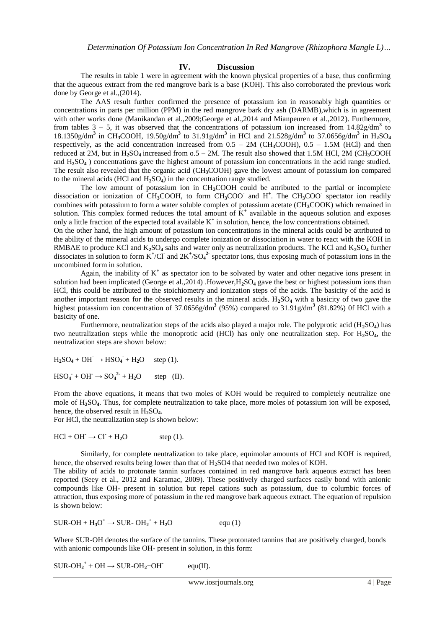## **IV. Discussion**

The results in table 1 were in agreement with the known physical properties of a base, thus confirming that the aqueous extract from the red mangrove bark is a base (KOH). This also corroborated the previous work done by George et al.,(2014).

The AAS result further confirmed the presence of potassium ion in reasonably high quantities or concentrations in parts per million (PPM) in the red mangrove bark dry ash (DARMB),which is in agreement with other works done (Manikandan et al.,2009;George et al.,2014 and Mianpeuren et al.,2012). Furthermore, from tables  $3 - 5$ , it was observed that the concentrations of potassium ion increased from  $14.82$  g/dm<sup>3</sup> to 18.1350g/dm**<sup>3</sup>** in CH**3**COOH, 19.50g/dm**<sup>3</sup>** to 31.91g/dm**<sup>3</sup>** in HCl and 21.528g/dm**<sup>3</sup>** to 37.0656g/dm**<sup>3</sup>** in H**2**SO**<sup>4</sup>** respectively, as the acid concentration increased from  $0.5 - 2M$  (CH<sub>3</sub>COOH),  $0.5 - 1.5M$  (HCl) and then reduced at 2M, but in H<sub>2</sub>SO<sub>4</sub> increased from  $0.5 - 2M$ . The result also showed that 1.5M HCl, 2M (CH<sub>3</sub>COOH) and H**2**SO**<sup>4</sup>** ) concentrations gave the highest amount of potassium ion concentrations in the acid range studied. The result also revealed that the organic acid (CH**3**COOH) gave the lowest amount of potassium ion compared to the mineral acids (HCl and  $H_2SO_4$ ) in the concentration range studied.

The low amount of potassium ion in CH**3**COOH could be attributed to the partial or incomplete dissociation or ionization of CH**3**COOH, to form CH**3**COO**-**and H**<sup>+</sup>** . The CH**3**COO**-**spectator ion readily combines with potassium to form a water soluble complex of potassium acetate (CH**3**COOK) which remained in solution. This complex formed reduces the total amount of  $K^+$  available in the aqueous solution and exposes only a little fraction of the expected total available K**<sup>+</sup>** in solution, hence, the low concentrations obtained.

On the other hand, the high amount of potassium ion concentrations in the mineral acids could be attributed to the ability of the mineral acids to undergo complete ionization or dissociation in water to react with the KOH in RMBAE to produce KCl and K**2**SO**<sup>4</sup>** salts and water only as neutralization products. The KCl and K**2**SO**<sup>4</sup>** further dissociates in solution to form  $K^{\dagger}/CI$  and  $2K^{\dagger}/SO_4^2$  spectator ions, thus exposing much of potassium ions in the uncombined form in solution.

Again, the inability of  $K^+$  as spectator ion to be solvated by water and other negative ions present in solution had been implicated (George et al.,2014) .However,H**2**SO**<sup>4</sup>** gave the best or highest potassium ions than HCl, this could be attributed to the stoichiometry and ionization steps of the acids. The basicity of the acid is another important reason for the observed results in the mineral acids. H**2**SO**<sup>4</sup>** with a basicity of two gave the highest potassium ion concentration of 37.0656g/dm**<sup>3</sup>** (95%) compared to 31.91g/dm**<sup>3</sup>** (81.82%) 0f HCl with a basicity of one.

Furthermore, neutralization steps of the acids also played a major role. The polyprotic acid (H**2**SO**4**) has two neutralization steps while the monoprotic acid (HCl) has only one neutralization step. For H**2**SO**4**, the neutralization steps are shown below:

 $H_2SO_4 + OH \rightarrow HSO_4 + H_2O$  step (1).

 $HSO_4 + OH \rightarrow SO_4^2 + H_2O$  step (II).

From the above equations, it means that two moles of KOH would be required to completely neutralize one mole of H**2**SO**4**. Thus, for complete neutralization to take place, more moles of potassium ion will be exposed, hence, the observed result in H<sub>2</sub>SO<sub>4</sub>.

For HCl, the neutralization step is shown below:

$$
HCl + OH^{\cdot} \rightarrow Cl^{\cdot} + H_2O \qquad \text{step (1)}.
$$

Similarly, for complete neutralization to take place, equimolar amounts of HCl and KOH is required, hence, the observed results being lower than that of H<sub>2</sub>SO4 that needed two moles of KOH.

The ability of acids to protonate tannin surfaces contained in red mangrove bark aqueous extract has been reported (Seey et al., 2012 and Karamac, 2009). These positively charged surfaces easily bond with anionic compounds like OH- present in solution but repel cations such as potassium, due to columbic forces of attraction, thus exposing more of potassium in the red mangrove bark aqueous extract. The equation of repulsion is shown below:

$$
SUR-OH + H_3O^+ \rightarrow SUR-OH_2^+ + H_2O \qquad \text{equ (1)}
$$

Where SUR-OH denotes the surface of the tannins. These protonated tannins that are positively charged, bonds with anionic compounds like OH- present in solution, in this form:

 $SUR$ - $OH_2^+$  +  $OH \rightarrow SUR$ - $OH_2$ + $OH^$  $equ(II).$